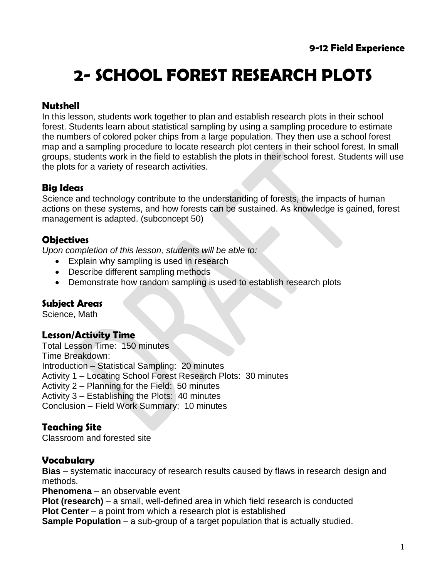# **2- SCHOOL FOREST RESEARCH PLOTS**

## **Nutshell**

In this lesson, students work together to plan and establish research plots in their school forest. Students learn about statistical sampling by using a sampling procedure to estimate the numbers of colored poker chips from a large population. They then use a school forest map and a sampling procedure to locate research plot centers in their school forest. In small groups, students work in the field to establish the plots in their school forest. Students will use the plots for a variety of research activities.

## **Big Ideas**

Science and technology contribute to the understanding of forests, the impacts of human actions on these systems, and how forests can be sustained. As knowledge is gained, forest management is adapted. (subconcept 50)

#### **Objectives**

*Upon completion of this lesson, students will be able to:*

- Explain why sampling is used in research
- Describe different sampling methods
- Demonstrate how random sampling is used to establish research plots

#### **Subject Areas**

Science, Math

#### **Lesson/Activity Time**

Total Lesson Time: 150 minutes Time Breakdown: Introduction – Statistical Sampling: 20 minutes Activity 1 – Locating School Forest Research Plots: 30 minutes Activity 2 – Planning for the Field: 50 minutes Activity 3 – Establishing the Plots: 40 minutes Conclusion – Field Work Summary: 10 minutes

#### **Teaching Site**

Classroom and forested site

#### **Vocabulary**

**Bias** – systematic inaccuracy of research results caused by flaws in research design and methods.

**Phenomena** – an observable event

**Plot (research)** – a small, well-defined area in which field research is conducted

**Plot Center** – a point from which a research plot is established

**Sample Population** – a sub-group of a target population that is actually studied.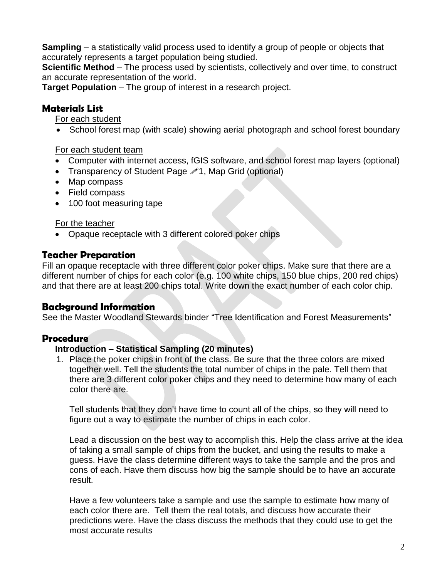**Sampling** – a statistically valid process used to identify a group of people or objects that accurately represents a target population being studied.

**Scientific Method** – The process used by scientists, collectively and over time, to construct an accurate representation of the world.

**Target Population** – The group of interest in a research project.

#### **Materials List**

For each student

• School forest map (with scale) showing aerial photograph and school forest boundary

#### For each student team

- Computer with internet access, fGIS software, and school forest map layers (optional)
- Transparency of Student Page  $\mathscr{P}$ 1, Map Grid (optional)
- Map compass
- Field compass
- 100 foot measuring tape

#### For the teacher

• Opaque receptacle with 3 different colored poker chips

## **Teacher Preparation**

Fill an opaque receptacle with three different color poker chips. Make sure that there are a different number of chips for each color (e.g. 100 white chips, 150 blue chips, 200 red chips) and that there are at least 200 chips total. Write down the exact number of each color chip.

## **Background Information**

See the Master Woodland Stewards binder "Tree Identification and Forest Measurements"

## **Procedure**

#### **Introduction – Statistical Sampling (20 minutes)**

1. Place the poker chips in front of the class. Be sure that the three colors are mixed together well. Tell the students the total number of chips in the pale. Tell them that there are 3 different color poker chips and they need to determine how many of each color there are.

Tell students that they don't have time to count all of the chips, so they will need to figure out a way to estimate the number of chips in each color.

Lead a discussion on the best way to accomplish this. Help the class arrive at the idea of taking a small sample of chips from the bucket, and using the results to make a guess. Have the class determine different ways to take the sample and the pros and cons of each. Have them discuss how big the sample should be to have an accurate result.

Have a few volunteers take a sample and use the sample to estimate how many of each color there are. Tell them the real totals, and discuss how accurate their predictions were. Have the class discuss the methods that they could use to get the most accurate results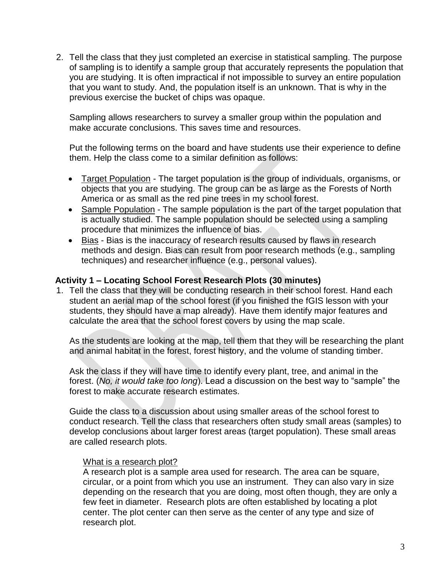2. Tell the class that they just completed an exercise in statistical sampling. The purpose of sampling is to identify a sample group that accurately represents the population that you are studying. It is often impractical if not impossible to survey an entire population that you want to study. And, the population itself is an unknown. That is why in the previous exercise the bucket of chips was opaque.

Sampling allows researchers to survey a smaller group within the population and make accurate conclusions. This saves time and resources.

Put the following terms on the board and have students use their experience to define them. Help the class come to a similar definition as follows:

- Target Population The target population is the group of individuals, organisms, or objects that you are studying. The group can be as large as the Forests of North America or as small as the red pine trees in my school forest.
- Sample Population The sample population is the part of the target population that is actually studied. The sample population should be selected using a sampling procedure that minimizes the influence of bias.
- Bias Bias is the inaccuracy of research results caused by flaws in research methods and design. Bias can result from poor research methods (e.g., sampling techniques) and researcher influence (e.g., personal values).

#### **Activity 1 – Locating School Forest Research Plots (30 minutes)**

1. Tell the class that they will be conducting research in their school forest. Hand each student an aerial map of the school forest (if you finished the fGIS lesson with your students, they should have a map already). Have them identify major features and calculate the area that the school forest covers by using the map scale.

As the students are looking at the map, tell them that they will be researching the plant and animal habitat in the forest, forest history, and the volume of standing timber.

Ask the class if they will have time to identify every plant, tree, and animal in the forest. (*No, it would take too long*). Lead a discussion on the best way to "sample" the forest to make accurate research estimates.

Guide the class to a discussion about using smaller areas of the school forest to conduct research. Tell the class that researchers often study small areas (samples) to develop conclusions about larger forest areas (target population). These small areas are called research plots.

#### What is a research plot?

A research plot is a sample area used for research. The area can be square, circular, or a point from which you use an instrument. They can also vary in size depending on the research that you are doing, most often though, they are only a few feet in diameter. Research plots are often established by locating a plot center. The plot center can then serve as the center of any type and size of research plot.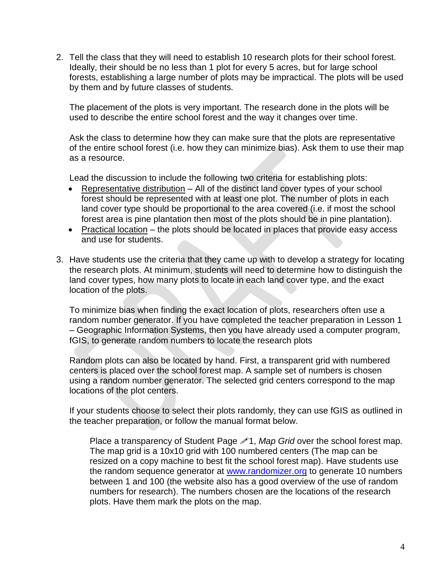2. Tell the class that they will need to establish 10 research plots for their school forest. Ideally, their should be no less than 1 plot for every 5 acres, but for large school forests, establishing a large number of plots may be impractical. The plots will be used by them and by future classes of students.

The placement of the plots is very important. The research done in the plots will be used to describe the entire school forest and the way it changes over time.

Ask the class to determine how they can make sure that the plots are representative of the entire school forest (i.e. how they can minimize bias). Ask them to use their map as a resource.

Lead the discussion to include the following two criteria for establishing plots:

- Representative distribution All of the distinct land cover types of your school forest should be represented with at least one plot. The number of plots in each land cover type should be proportional to the area covered (i.e. if most the school forest area is pine plantation then most of the plots should be in pine plantation).
- Practical location the plots should be located in places that provide easy access and use for students.
- 3. Have students use the criteria that they came up with to develop a strategy for locating the research plots. At minimum, students will need to determine how to distinguish the land cover types, how many plots to locate in each land cover type, and the exact location of the plots.

To minimize bias when finding the exact location of plots, researchers often use a random number generator. If you have completed the teacher preparation in Lesson 1 – Geographic Information Systems, then you have already used a computer program, fGIS, to generate random numbers to locate the research plots

Random plots can also be located by hand. First, a transparent grid with numbered centers is placed over the school forest map. A sample set of numbers is chosen using a random number generator. The selected grid centers correspond to the map locations of the plot centers.

If your students choose to select their plots randomly, they can use fGIS as outlined in the teacher preparation, or follow the manual format below.

Place a transparency of Student Page 21, Map Grid over the school forest map. The map grid is a 10x10 grid with 100 numbered centers (The map can be resized on a copy machine to best fit the school forest map). Have students use the random sequence generator at [www.randomizer.org](http://www.randomizer.org/) to generate 10 numbers between 1 and 100 (the website also has a good overview of the use of random numbers for research). The numbers chosen are the locations of the research plots. Have them mark the plots on the map.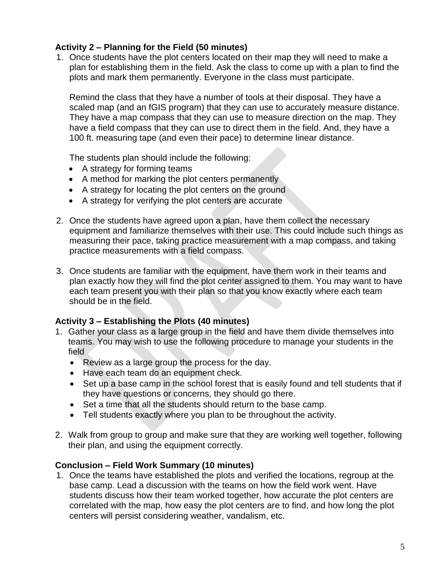#### **Activity 2 – Planning for the Field (50 minutes)**

1. Once students have the plot centers located on their map they will need to make a plan for establishing them in the field. Ask the class to come up with a plan to find the plots and mark them permanently. Everyone in the class must participate.

Remind the class that they have a number of tools at their disposal. They have a scaled map (and an fGIS program) that they can use to accurately measure distance. They have a map compass that they can use to measure direction on the map. They have a field compass that they can use to direct them in the field. And, they have a 100 ft. measuring tape (and even their pace) to determine linear distance.

The students plan should include the following:

- A strategy for forming teams
- A method for marking the plot centers permanently
- A strategy for locating the plot centers on the ground
- A strategy for verifying the plot centers are accurate
- 2. Once the students have agreed upon a plan, have them collect the necessary equipment and familiarize themselves with their use. This could include such things as measuring their pace, taking practice measurement with a map compass, and taking practice measurements with a field compass.
- 3. Once students are familiar with the equipment, have them work in their teams and plan exactly how they will find the plot center assigned to them. You may want to have each team present you with their plan so that you know exactly where each team should be in the field.

#### **Activity 3 – Establishing the Plots (40 minutes)**

- 1. Gather your class as a large group in the field and have them divide themselves into teams. You may wish to use the following procedure to manage your students in the field
	- Review as a large group the process for the day.
	- Have each team do an equipment check.
	- Set up a base camp in the school forest that is easily found and tell students that if they have questions or concerns, they should go there.
	- Set a time that all the students should return to the base camp.
	- Tell students exactly where you plan to be throughout the activity.
- 2. Walk from group to group and make sure that they are working well together, following their plan, and using the equipment correctly.

#### **Conclusion – Field Work Summary (10 minutes)**

1. Once the teams have established the plots and verified the locations, regroup at the base camp. Lead a discussion with the teams on how the field work went. Have students discuss how their team worked together, how accurate the plot centers are correlated with the map, how easy the plot centers are to find, and how long the plot centers will persist considering weather, vandalism, etc.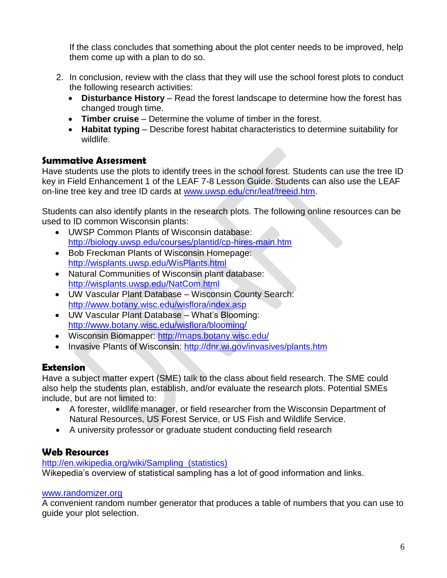If the class concludes that something about the plot center needs to be improved, help them come up with a plan to do so.

- 2. In conclusion, review with the class that they will use the school forest plots to conduct the following research activities:
	- **Disturbance History** Read the forest landscape to determine how the forest has changed trough time.
	- **Timber cruise** Determine the volume of timber in the forest.
	- **Habitat typing** Describe forest habitat characteristics to determine suitability for wildlife.

#### **Summative Assessment**

Have students use the plots to identify trees in the school forest. Students can use the tree ID key in Field Enhancement 1 of the LEAF 7-8 Lesson Guide. Students can also use the LEAF on-line tree key and tree ID cards at [www.uwsp.edu/cnr/leaf/treeid.htm.](http://www.uwsp.edu/cnr/leaf/treeid.htm)

Students can also identify plants in the research plots. The following online resources can be used to ID common Wisconsin plants:

- UWSP Common Plants of Wisconsin database: <http://biology.uwsp.edu/courses/plantid/cp-hires-main.htm>
- Bob Freckman Plants of Wisconsin Homepage: <http://wisplants.uwsp.edu/WisPlants.html>
- Natural Communities of Wisconsin plant database: <http://wisplants.uwsp.edu/NatCom.html>
- UW Vascular Plant Database Wisconsin County Search: <http://www.botany.wisc.edu/wisflora/index.asp>
- UW Vascular Plant Database What's Blooming: <http://www.botany.wisc.edu/wisflora/blooming/>
- Wisconsin Biomapper:<http://maps.botany.wisc.edu/>
- Invasive Plants of Wisconsin:<http://dnr.wi.gov/invasives/plants.htm>

## **Extension**

Have a subject matter expert (SME) talk to the class about field research. The SME could also help the students plan, establish, and/or evaluate the research plots. Potential SMEs include, but are not limited to:

- A forester, wildlife manager, or field researcher from the Wisconsin Department of Natural Resources, US Forest Service, or US Fish and Wildlife Service.
- A university professor or graduate student conducting field research

#### **Web Resources**

http://en.wikipedia.org/wiki/Sampling (statistics) Wikepedia's overview of statistical sampling has a lot of good information and links.

#### [www.randomizer.org](http://www.random.org/nform.html)

A convenient random number generator that produces a table of numbers that you can use to guide your plot selection.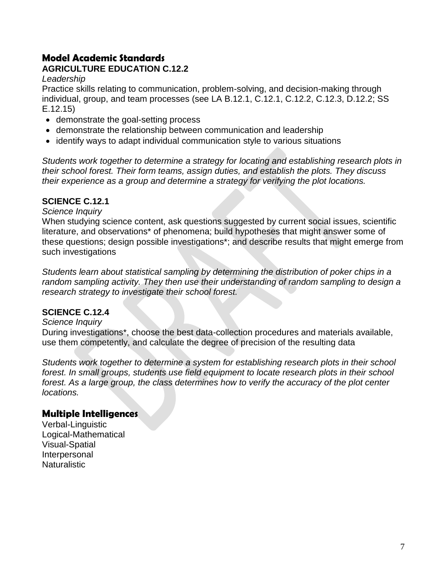## **Model Academic Standards**

## **AGRICULTURE EDUCATION C.12.2**

#### *Leadership*

Practice skills relating to communication, problem-solving, and decision-making through individual, group, and team processes (see LA B.12.1, C.12.1, C.12.2, C.12.3, D.12.2; SS E.12.15)

- demonstrate the goal-setting process
- demonstrate the relationship between communication and leadership
- identify ways to adapt individual communication style to various situations

*Students work together to determine a strategy for locating and establishing research plots in their school forest. Their form teams, assign duties, and establish the plots. They discuss their experience as a group and determine a strategy for verifying the plot locations.*

#### **SCIENCE C.12.1**

*Science Inquiry*

When studying science content, ask questions suggested by current social issues, scientific literature, and observations\* of phenomena; build hypotheses that might answer some of these questions; design possible investigations\*; and describe results that might emerge from such investigations

*Students learn about statistical sampling by determining the distribution of poker chips in a random sampling activity. They then use their understanding of random sampling to design a research strategy to investigate their school forest.*

#### **SCIENCE C.12.4**

*Science Inquiry*

During investigations\*, choose the best data-collection procedures and materials available, use them competently, and calculate the degree of precision of the resulting data

*Students work together to determine a system for establishing research plots in their school forest. In small groups, students use field equipment to locate research plots in their school forest. As a large group, the class determines how to verify the accuracy of the plot center locations.*

#### **Multiple Intelligences**

Verbal-Linguistic Logical-Mathematical Visual-Spatial Interpersonal **Naturalistic**